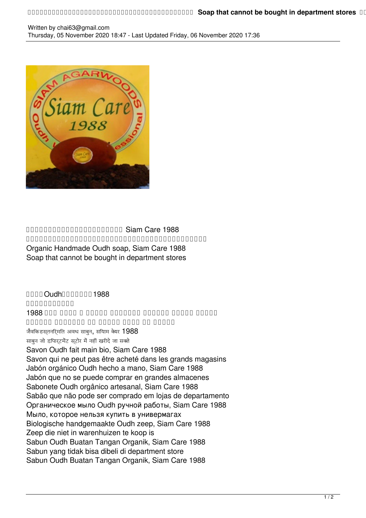## Written by chai63@gmail.com Thursday, 05 November 2020 18:47 - Last Updated Friday, 06 November 2020 17:36



## and Care 1988  ${\color{red}0} {\color{black}0} {\color{black}0} {\color{black}0} {\color{black}0} {\color{black}0} {\color{black}0} {\color{black}0} {\color{black}0} {\color{black}0} {\color{black}0} {\color{black}0} {\color{black}0} {\color{black}0} {\color{black}0} {\color{black}0} {\color{black}0} {\color{black}0} {\color{black}0} {\color{black}0} {\color{black}0} {\color{black}0} {\color{black}0} {\color{black}0} {\color{black}0} {\color{black}0} {\color{black}0} {\color{black}0} {\color{black}0} {\color{black}0} {\color{black}0} {\color$ Organic Handmade Oudh soap, Siam Care 1988

## Soap that cannot be bought in department stores

 $\Pi$ <sub>Oudh</sub>nnnnn1988  $\Box \Box \Box \Box \Box \Box \Box \Box \Box \Box \Box$ صابون العود العضوي المصنوع يدويا ، سيام كير1988 صابون لا يمكن شراؤه من المتاجر الكبرى जैविक हस्तनिर्मित अवध साबुन, सियाम केयर 1988 साबुन जो डिपार्टमेंट स्टोर में नहीं खरीदे जा सकते Savon Oudh fait main bio, Siam Care 1988 Savon qui ne peut pas être acheté dans les grands magasins Jabón orgánico Oudh hecho a mano, Siam Care 1988 Jabón que no se puede comprar en grandes almacenes Sabonete Oudh orgânico artesanal, Siam Care 1988 Sabão que não pode ser comprado em lojas de departamento Органическое мыло Oudh ручной работы, Siam Care 1988 Мыло, которое нельзя купить в универмагах Biologische handgemaakte Oudh zeep, Siam Care 1988 Zeep die niet in warenhuizen te koop is Sabun Oudh Buatan Tangan Organik, Siam Care 1988 Sabun yang tidak bisa dibeli di department store Sabun Oudh Buatan Tangan Organik, Siam Care 1988